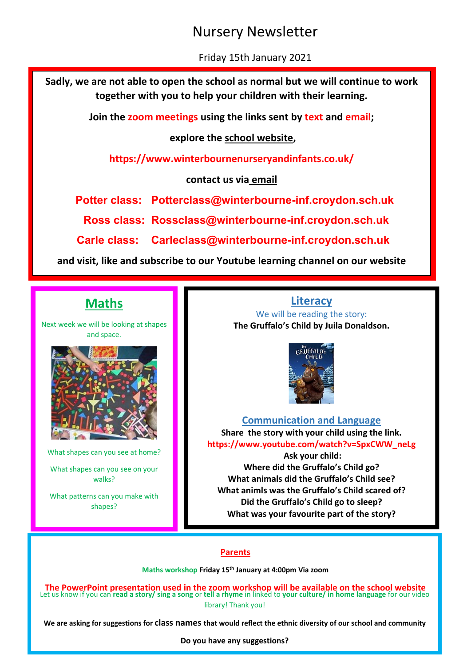## Nursery Newsletter

Friday 15th January 2021

**Sadly, we are not able to open the school as normal but we will continue to work together with you to help your children with their learning.**

**Join the zoom meetings using the links sent by text and email;**

**explore the school website,** 

**https://www.winterbournenurseryandinfants.co.uk/**

**contact us via email**

**Potter class: [Potterclass@winterbourne-inf.croydon.sch.uk](mailto:Potterclass@winterbourne-inf.croydon.sch.uk)**

 **Ross class: Rossclass@winterbourne-inf.croydon.sch.uk**

**Carle class: Carleclass@winterbourne-inf.croydon.sch.uk**

**and visit, like and subscribe to our Youtube learning channel on our website**

## **Maths**

Next week we will be looking at shapes and space.



What shapes can you see at home? What shapes can you see on your

walks?

What patterns can you make with shapes?

**Literacy** We will be reading the story: **The Gruffalo's Child by Juila Donaldson.**



## **Communication and Language**

**Share the story with your child using the link. https://www.youtube.com/watch?v=SpxCWW\_neLg**

**Ask your child: Where did the Gruffalo's Child go? What animals did the Gruffalo's Child see? What animls was the Gruffalo's Child scared of? Did the Gruffalo's Child go to sleep? What was your favourite part of the story?**

## **Parents**

**Maths workshop Friday 15th January at 4:00pm Via zoom**

Let us know if you can **read a story/ sing a song** or **tell a rhyme** in linked to **your culture/ in home language** for our video library! Thank you! **The PowerPoint presentation used in the zoom workshop will be available on the school website**

**We are asking for suggestions for class names that would reflect the ethnic diversity of our school and community**

**Do you have any suggestions?**